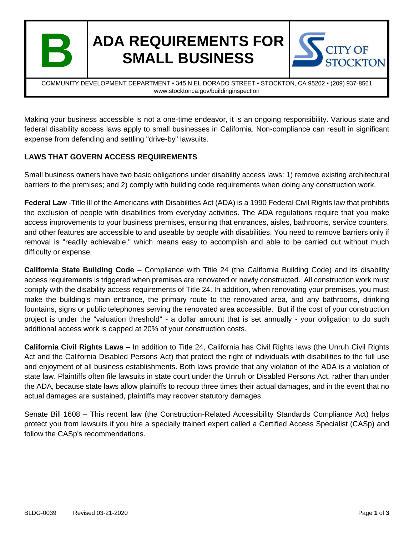

# **ADA REQUIREMENTS FOR SMALL BUSINESS**



COMMUNITY DEVELOPMENT DEPARTMENT • 345 N EL DORADO STREET • STOCKTON, CA 95202 • (209) 937-8561 www.stocktonca.gov/buildinginspection

Making your business accessible is not a one-time endeavor, it is an ongoing responsibility. Various state and federal disability access laws apply to small businesses in California. Non-compliance can result in significant expense from defending and settling "drive-by" lawsuits.

## **LAWS THAT GOVERN ACCESS REQUIREMENTS**

Small business owners have two basic obligations under disability access laws: 1) remove existing architectural barriers to the premises; and 2) comply with building code requirements when doing any construction work.

**Federal Law** -Title lll of the Americans with Disabilities Act (ADA) is a 1990 Federal Civil Rights law that prohibits the exclusion of people with disabilities from everyday activities. The ADA regulations require that you make access improvements to your business premises, ensuring that entrances, aisles, bathrooms, service counters, and other features are accessible to and useable by people with disabilities. You need to remove barriers only if removal is "readily achievable," which means easy to accomplish and able to be carried out without much difficulty or expense.

**California State Building Code** – Compliance with Title 24 (the California Building Code) and its disability access requirements is triggered when premises are renovated or newly constructed. All construction work must comply with the disability access requirements of Title 24. In addition, when renovating your premises, you must make the building's main entrance, the primary route to the renovated area, and any bathrooms, drinking fountains, signs or public telephones serving the renovated area accessible. But if the cost of your construction project is under the "valuation threshold" - a dollar amount that is set annually - your obligation to do such additional access work is capped at 20% of your construction costs.

**California Civil Rights Laws** – In addition to Title 24, California has Civil Rights laws (the Unruh Civil Rights Act and the California Disabled Persons Act) that protect the right of individuals with disabilities to the full use and enjoyment of all business establishments. Both laws provide that any violation of the ADA is a violation of state law. Plaintiffs often file lawsuits in state court under the Unruh or Disabled Persons Act, rather than under the ADA, because state laws allow plaintiffs to recoup three times their actual damages, and in the event that no actual damages are sustained, plaintiffs may recover statutory damages.

Senate Bill 1608 – This recent law (the Construction-Related Accessibility Standards Compliance Act) helps protect you from lawsuits if you hire a specially trained expert called a Certified Access Specialist (CASp) and follow the CASp's recommendations.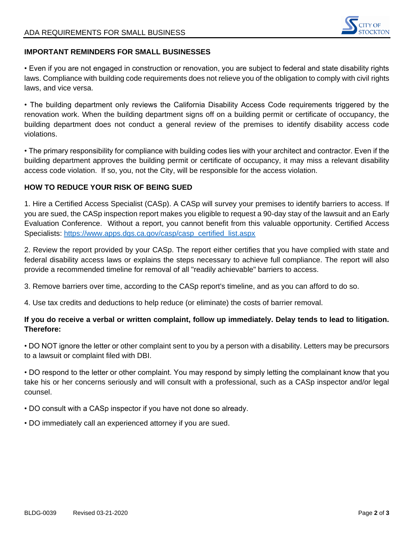

#### **IMPORTANT REMINDERS FOR SMALL BUSINESSES**

• Even if you are not engaged in construction or renovation, you are subject to federal and state disability rights laws. Compliance with building code requirements does not relieve you of the obligation to comply with civil rights laws, and vice versa.

• The building department only reviews the California Disability Access Code requirements triggered by the renovation work. When the building department signs off on a building permit or certificate of occupancy, the building department does not conduct a general review of the premises to identify disability access code violations.

• The primary responsibility for compliance with building codes lies with your architect and contractor. Even if the building department approves the building permit or certificate of occupancy, it may miss a relevant disability access code violation. If so, you, not the City, will be responsible for the access violation.

#### **HOW TO REDUCE YOUR RISK OF BEING SUED**

1. Hire a Certified Access Specialist (CASp). A CASp will survey your premises to identify barriers to access. If you are sued, the CASp inspection report makes you eligible to request a 90-day stay of the lawsuit and an Early Evaluation Conference. Without a report, you cannot benefit from this valuable opportunity. Certified Access Specialists: [https://www.apps.dgs.ca.gov/casp/casp\\_certified\\_list.aspx](https://www.apps.dgs.ca.gov/casp/casp_certified_list.aspx)

2. Review the report provided by your CASp. The report either certifies that you have complied with state and federal disability access laws or explains the steps necessary to achieve full compliance. The report will also provide a recommended timeline for removal of all "readily achievable" barriers to access.

3. Remove barriers over time, according to the CASp report's timeline, and as you can afford to do so.

4. Use tax credits and deductions to help reduce (or eliminate) the costs of barrier removal.

## **If you do receive a verbal or written complaint, follow up immediately. Delay tends to lead to litigation. Therefore:**

• DO NOT ignore the letter or other complaint sent to you by a person with a disability. Letters may be precursors to a lawsuit or complaint filed with DBI.

• DO respond to the letter or other complaint. You may respond by simply letting the complainant know that you take his or her concerns seriously and will consult with a professional, such as a CASp inspector and/or legal counsel.

• DO consult with a CASp inspector if you have not done so already.

• DO immediately call an experienced attorney if you are sued.